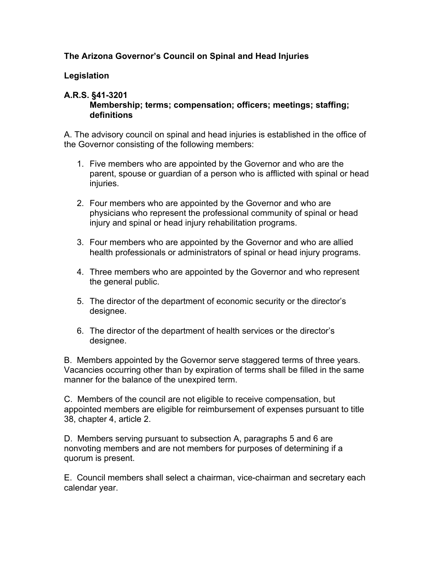# **The Arizona Governor's Council on Spinal and Head Injuries**

### **Legislation**

## **A.R.S. §41-3201**

**Membership; terms; compensation; officers; meetings; staffing; definitions**

A. The advisory council on spinal and head injuries is established in the office of the Governor consisting of the following members:

- 1. Five members who are appointed by the Governor and who are the parent, spouse or guardian of a person who is afflicted with spinal or head injuries.
- 2. Four members who are appointed by the Governor and who are physicians who represent the professional community of spinal or head injury and spinal or head injury rehabilitation programs.
- 3. Four members who are appointed by the Governor and who are allied health professionals or administrators of spinal or head injury programs.
- 4. Three members who are appointed by the Governor and who represent the general public.
- 5. The director of the department of economic security or the director's designee.
- 6. The director of the department of health services or the director's designee.

B. Members appointed by the Governor serve staggered terms of three years. Vacancies occurring other than by expiration of terms shall be filled in the same manner for the balance of the unexpired term.

C. Members of the council are not eligible to receive compensation, but appointed members are eligible for reimbursement of expenses pursuant to title 38, chapter 4, article 2.

D. Members serving pursuant to subsection A, paragraphs 5 and 6 are nonvoting members and are not members for purposes of determining if a quorum is present.

E. Council members shall select a chairman, vice-chairman and secretary each calendar year.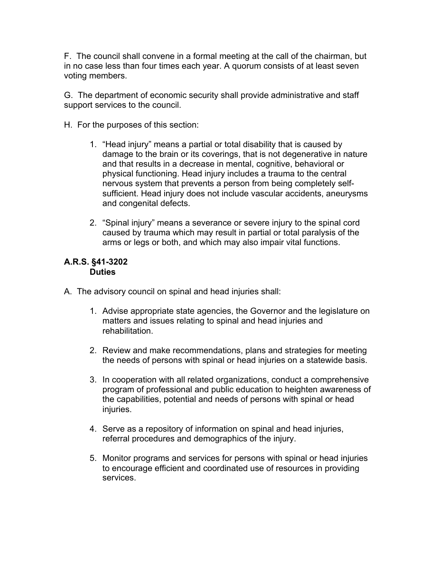F. The council shall convene in a formal meeting at the call of the chairman, but in no case less than four times each year. A quorum consists of at least seven voting members.

G. The department of economic security shall provide administrative and staff support services to the council.

- H. For the purposes of this section:
	- 1. "Head injury" means a partial or total disability that is caused by damage to the brain or its coverings, that is not degenerative in nature and that results in a decrease in mental, cognitive, behavioral or physical functioning. Head injury includes a trauma to the central nervous system that prevents a person from being completely selfsufficient. Head injury does not include vascular accidents, aneurysms and congenital defects.
	- 2. "Spinal injury" means a severance or severe injury to the spinal cord caused by trauma which may result in partial or total paralysis of the arms or legs or both, and which may also impair vital functions.

### **A.R.S. §41-3202 Duties**

- A. The advisory council on spinal and head injuries shall:
	- 1. Advise appropriate state agencies, the Governor and the legislature on matters and issues relating to spinal and head injuries and rehabilitation.
	- 2. Review and make recommendations, plans and strategies for meeting the needs of persons with spinal or head injuries on a statewide basis.
	- 3. In cooperation with all related organizations, conduct a comprehensive program of professional and public education to heighten awareness of the capabilities, potential and needs of persons with spinal or head injuries.
	- 4. Serve as a repository of information on spinal and head injuries, referral procedures and demographics of the injury.
	- 5. Monitor programs and services for persons with spinal or head injuries to encourage efficient and coordinated use of resources in providing services.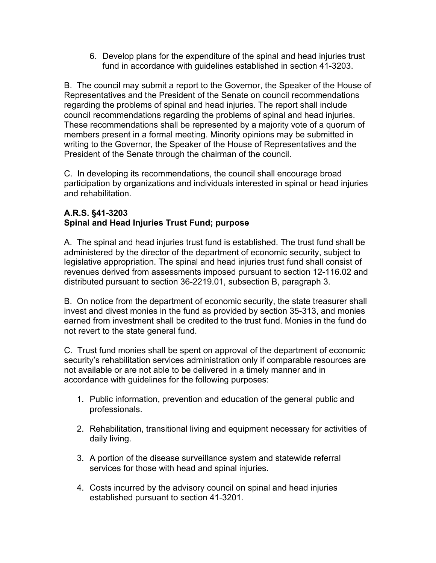6. Develop plans for the expenditure of the spinal and head injuries trust fund in accordance with guidelines established in section 41-3203.

B. The council may submit a report to the Governor, the Speaker of the House of Representatives and the President of the Senate on council recommendations regarding the problems of spinal and head injuries. The report shall include council recommendations regarding the problems of spinal and head injuries. These recommendations shall be represented by a majority vote of a quorum of members present in a formal meeting. Minority opinions may be submitted in writing to the Governor, the Speaker of the House of Representatives and the President of the Senate through the chairman of the council.

C. In developing its recommendations, the council shall encourage broad participation by organizations and individuals interested in spinal or head injuries and rehabilitation.

## **A.R.S. §41-3203 Spinal and Head Injuries Trust Fund; purpose**

A. The spinal and head injuries trust fund is established. The trust fund shall be administered by the director of the department of economic security, subject to legislative appropriation. The spinal and head injuries trust fund shall consist of revenues derived from assessments imposed pursuant to section 12-116.02 and distributed pursuant to section 36-2219.01, subsection B, paragraph 3.

B. On notice from the department of economic security, the state treasurer shall invest and divest monies in the fund as provided by section 35-313, and monies earned from investment shall be credited to the trust fund. Monies in the fund do not revert to the state general fund.

C. Trust fund monies shall be spent on approval of the department of economic security's rehabilitation services administration only if comparable resources are not available or are not able to be delivered in a timely manner and in accordance with guidelines for the following purposes:

- 1. Public information, prevention and education of the general public and professionals.
- 2. Rehabilitation, transitional living and equipment necessary for activities of daily living.
- 3. A portion of the disease surveillance system and statewide referral services for those with head and spinal injuries.
- 4. Costs incurred by the advisory council on spinal and head injuries established pursuant to section 41-3201.